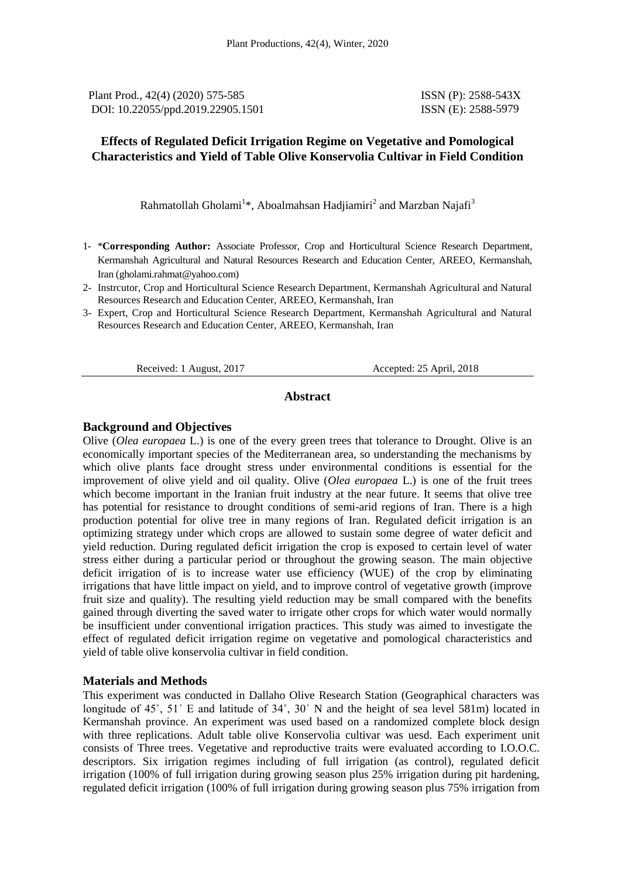Plant Prod., 42(4) (2020) 575-585 **ISSN** (P): 2588-543X DOI: 10.22055/ppd.2019.22905.1501

ISSN (E): 2588-5979

## **Effects of Regulated Deficit Irrigation Regime on Vegetative and Pomological Characteristics and Yield of Table Olive Konservolia Cultivar in Field Condition**

Rahmatollah Gholami<sup>1</sup>\*, Aboalmahsan Hadjiamiri<sup>2</sup> and Marzban Najafi<sup>3</sup>

- 1- \***Corresponding Author:** Associate Professor, Crop and Horticultural Science Research Department, Kermanshah Agricultural and Natural Resources Research and Education Center, AREEO, Kermanshah, Iran (gholami.rahmat@yahoo.com)
- 2- Instrcutor, Crop and Horticultural Science Research Department, Kermanshah Agricultural and Natural Resources Research and Education Center, AREEO, Kermanshah, Iran
- 3- Expert, Crop and Horticultural Science Research Department, Kermanshah Agricultural and Natural Resources Research and Education Center, AREEO, Kermanshah, Iran

Received: 1 August, 2017 **Accepted: 25 April, 2018** 

#### **Abstract**

#### **Background and Objectives**

Olive (*Olea europaea* L.) is one of the every green trees that tolerance to Drought. Olive is an economically important species of the Mediterranean area, so understanding the mechanisms by which olive plants face drought stress under environmental conditions is essential for the improvement of olive yield and oil quality. Olive (*Olea europaea* L.) is one of the fruit trees which become important in the Iranian fruit industry at the near future. It seems that olive tree has potential for resistance to drought conditions of semi-arid regions of Iran. There is a high production potential for olive tree in many regions of Iran. Regulated deficit irrigation is an optimizing strategy under which crops are allowed to sustain some degree of water deficit and yield reduction. During regulated deficit irrigation the crop is exposed to certain level of water stress either during a particular period or throughout the growing season. The main objective deficit irrigation of is to increase water use efficiency (WUE) of the crop by eliminating irrigations that have little impact on yield, and to improve control of vegetative growth (improve fruit size and quality). The resulting yield reduction may be small compared with the benefits gained through diverting the saved water to irrigate other crops for which water would normally be insufficient under conventional irrigation practices. This study was aimed to investigate the effect of regulated deficit irrigation regime on vegetative and pomological characteristics and yield of table olive konservolia cultivar in field condition.

#### **Materials and Methods**

This experiment was conducted in Dallaho Olive Research Station (Geographical characters was longitude of 45˚, 51΄ E and latitude of 34˚, 30΄ N and the height of sea level 581m) located in Kermanshah province. An experiment was used based on a randomized complete block design with three replications. Adult table olive Konservolia cultivar was uesd. Each experiment unit consists of Three trees. Vegetative and reproductive traits were evaluated according to I.O.O.C. descriptors. Six irrigation regimes including of full irrigation (as control), regulated deficit irrigation (100% of full irrigation during growing season plus 25% irrigation during pit hardening, regulated deficit irrigation (100% of full irrigation during growing season plus 75% irrigation from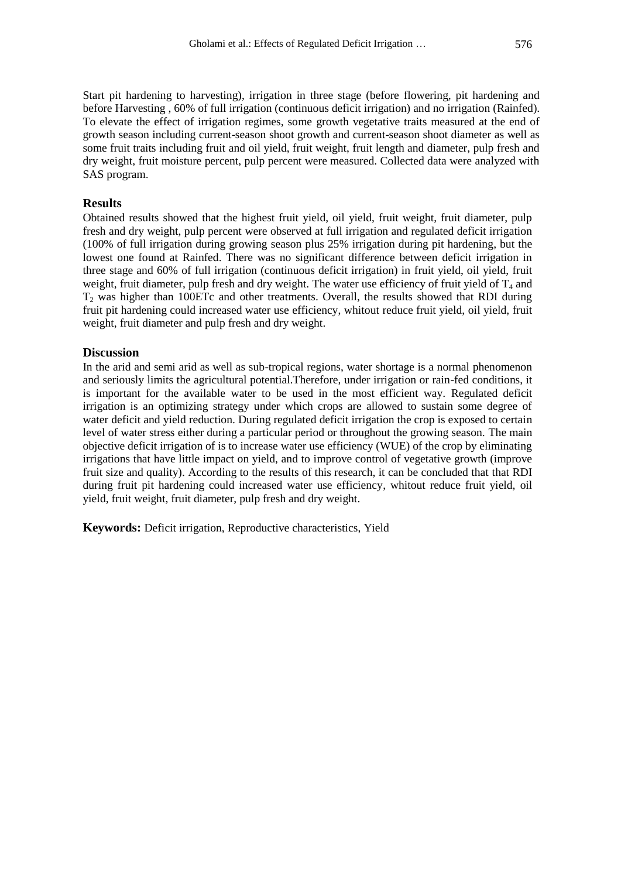Start pit hardening to harvesting), irrigation in three stage (before flowering, pit hardening and before Harvesting , 60% of full irrigation (continuous deficit irrigation) and no irrigation (Rainfed). To elevate the effect of irrigation regimes, some growth vegetative traits measured at the end of growth season including current-season shoot growth and current-season shoot diameter as well as some fruit traits including fruit and oil yield, fruit weight, fruit length and diameter, pulp fresh and dry weight, fruit moisture percent, pulp percent were measured. Collected data were analyzed with SAS program.

## **Results**

Obtained results showed that the highest fruit yield, oil yield, fruit weight, fruit diameter, pulp fresh and dry weight, pulp percent were observed at full irrigation and regulated deficit irrigation (100% of full irrigation during growing season plus 25% irrigation during pit hardening, but the lowest one found at Rainfed. There was no significant difference between deficit irrigation in three stage and 60% of full irrigation (continuous deficit irrigation) in fruit yield, oil yield, fruit weight, fruit diameter, pulp fresh and dry weight. The water use efficiency of fruit yield of  $T_4$  and  $T<sub>2</sub>$  was higher than 100ETc and other treatments. Overall, the results showed that RDI during fruit pit hardening could increased water use efficiency, whitout reduce fruit yield, oil yield, fruit weight, fruit diameter and pulp fresh and dry weight.

#### **Discussion**

In the arid and semi arid as well as sub-tropical regions, water shortage is a normal phenomenon and seriously limits the agricultural potential.Therefore, under irrigation or rain-fed conditions, it is important for the available water to be used in the most efficient way. Regulated deficit irrigation is an optimizing strategy under which crops are allowed to sustain some degree of water deficit and yield reduction. During regulated deficit irrigation the crop is exposed to certain level of water stress either during a particular period or throughout the growing season. The main objective deficit irrigation of is to increase water use efficiency (WUE) of the crop by eliminating irrigations that have little impact on yield, and to improve control of vegetative growth (improve fruit size and quality). According to the results of this research, it can be concluded that that RDI during fruit pit hardening could increased water use efficiency, whitout reduce fruit yield, oil yield, fruit weight, fruit diameter, pulp fresh and dry weight.

**Keywords:** Deficit irrigation, Reproductive characteristics, Yield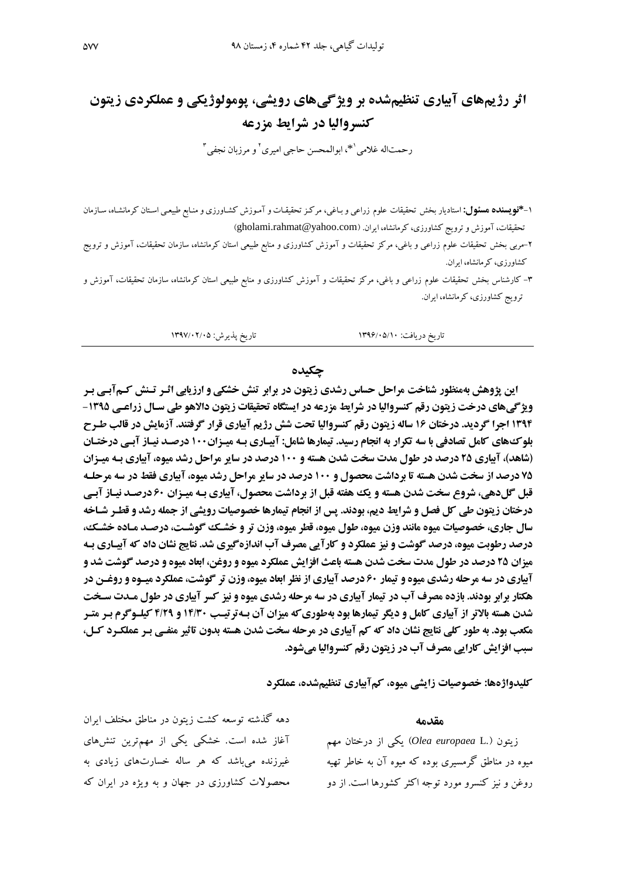# **اثر رژیمهای آبیاری تنظیمشده بر ویژگیهای رویشی، پومولوژیکی و عملکردی زیتون کنسروالیا در شرایط مزرعه**

رحمتاله غلامی<sup>۱</sup>\*، ابوالمحسن حاجی امیری<sup>۲</sup> و مرزبان نجفی<sup>۳</sup>

- ۱–**\*نویسنده هسئول:** استادیار بخش تحقیقات علوم زراعی و بـاغی، مرکـز تحقیقـات و آمـوزش کشـاورزی و منـابع طبیعـی اسـتان کرمانشـاه، سـازمان تحقیقات، آموزش و ترویج کشاورزی، کرمانشاه، ایران. (gholami.rahmat@yahoo.com)
- ۲-مربی بخش تحقیقات علوم زراعی و باغی، مرکز تحقیقات و آموزش کشاورزی و منابع طبیعی استان کرمانشاه، سازمان تحقیقات، آموزش و ترویج کشاورزی، کرمانشاه، ایران.
- ۳- کارشناس بخش تحقیقات علوم زراعی و باغی، مرکز تحقیقات و آموزش کشاورزی و منابع طبیعی استان کرمانشاه، سازمان تحقیقات، آموزش و ترویج کشاورزی، کرمانشاه، ایران.

تاریخ دریافت: 1396/07/10 تاریخ پذیرش: 1395/02/07

#### **چکیده**

**این پژوهش بهمنظور شناخت مراحل حساس رشدی زیتون در برابر تنش خشکی و ارزیابی اثرر ترنش کرم آبری برر ویژگیهای درخت زیتون رقم کنسروالیا در شرایط مزرعه در ایستگاه تحقیقات زیتون دالاهو طی سـال زراعـی ۱۳۹۵ -3159 اجرا گردید. درختان 31 ساله زیتون رقم کنسروالیا تحت شش رژیم آبیاری قرار گرفتند. آزمایش در قالب طرر بلوکهای کامل تصادفی با سه تکرار به انجام رسید. تیمارها شامل: آبیر اری بره میرزان 311 درصرد نیراز آبری درختران )شاهد(، آبیاری 59 درصد در طول مدت سخت شدن هسته و 311 درصد در سایر مراحل رشد میوه، آبیاری بره میرزان 59 درصد از سخت شدن هسته تا برداشت محصول و 311 درصد در سایر مراحل رشد میوه، آبیاری فقط در سه مرحلره قبل گلدهی، شروع سخت شدن هسته و یک هفته قبل از برداشت محصول، آبیاری بره میرزان 11 درصرد نیراز آبری درختان زیتون طی کل فصل و شرایط دیم، بودند. پس از انجام تیمارها خصوصیات رویشی از جمله رشد و قطرر شراخه سال جاری، خصوصیات میوه مانند وزن میوه، طول میوه، قطر میوه، وزن تر و خشرک گوشرت، درصرد مرا ده خشرک، درصد رطوبت میوه، درصد گوشت و نیز عملکرد و کارآیی مصرف آب اندازهگیری شد. نتایج نشان داد که آبیراری بره میزان 59 درصد در طول مدت سخت شدن هسته باعث افزایش عملکرد میوه و روغن، ابعاد میوه و درصد گوشت شد و آبیاری در سه مرحله رشدی میوه و تیمار 11 درصد آبیاری از نظر ابعاد میوه، وزن تر گوشت، عملکرد میروه و روغرن در هکتار برابر بودند. بازده مصرف آب در تیمار آبیاری در سه مرحله رشدی میوه و نیز کسر آبیاری در طول مردت سرخت شدن هسته باالتر از آبیاری کامل و دیگر تیمارها بود بهطوریکه میزان آن بره ترتیرب 39/11 و 9/55 کیلرو گرم برر مترر مکعب بود. به طور کلی نتایج نشان داد که کم آبیاری در مرحله سخت شدن هسته بدون تاثیر منفری برر عملکررد کرل، سبب افزایش کارایی مصرف آب در زیتون رقم کنسروالیا میشود.**

**کلیدواژهها: خصوصیات زایشی میوه، کمآبیاری تنظیمشده، عملکرد**

**مقدمه** زیتون ).L *europaea Olea* )یکی از درختان مهم میوه در مناطق گرمسیری بوده که میوه آن به خاطر تهیه روغن و نیز کنسرو مورد توجه اکثر کشورها است. از دو دهه گذشته توسعه کشت زیتون در مناطق مختلف ایران آغاز شده است. خشکی یکی از مهمترین تنشهای غیرزنده میباشد که هر ساله خسارتهای زیادی به محصوالت کراورزی در جهان و به ویژه در ایران که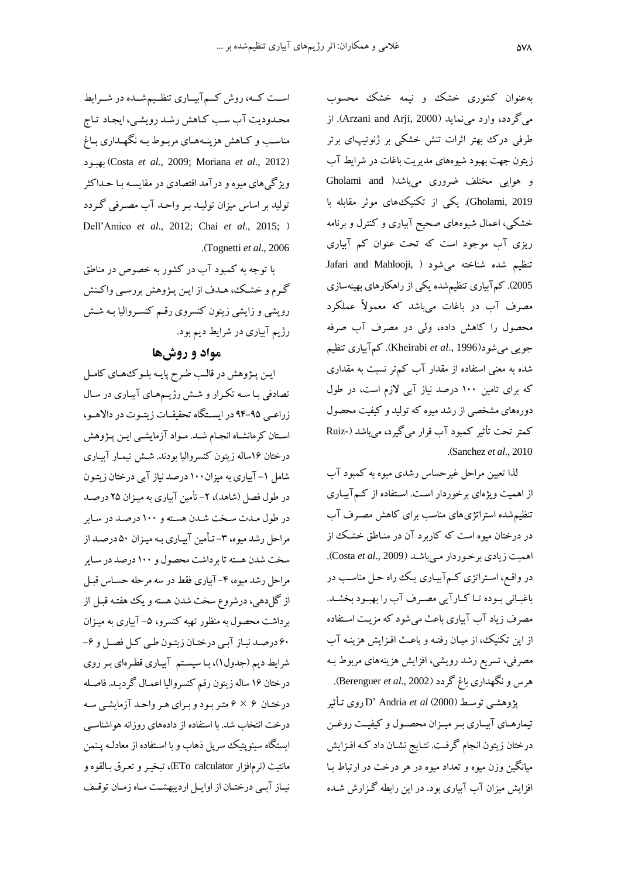بهعنوان کشوری خشک و نیمه خشک محسوب میگردد، وارد مینماید )2000 ,Arji and Arzani). از طرفی درک بهتر اثرات تنش خشکی بر ژنوتیپای برتر زیتون جهت بهبود شیوههای مدیریت باغات در شرایط آب و هوایی مختلف ضروری میباشد) and Gholami 2019 ,Gholami). یکی از تک یکهای موثر مقابله با خشکی، اعمال شیوههای صحیح آبیاری و کنترل و برنامه ریزی آب موجود است که تحت عنوان کم آبیاری Jafari and Mahlooji, ) تنظیم شده شناخته می شود 2005). کم آبیاری تنظیمشده یکی از راهکارهای بهینهسازی مصرف آب در باغات میباشد که معمولاً عملکرد محصول را کاهش داده، ولی در مصرف آب صرفه جویی میشود)<sup>1996</sup> .,*al et* Kheirabi). کموبیاری ت ظیم شده به معنی استفاده از مقدار آب کمتر نسبت به مقداری که برای تامین ۱۰۰ درصد نیاز آبی لازم است، در طول دورههای مشخصی از رشد میوه که تولید و کیفیت محصول کمتر تحت تأثیر کمبود آب قرار میگیرد، میباشد (-Ruiz .)Sanchez *et al*., 2010

لذا تعیین مراحل غیرحساس رشدی میوه به کمبود آب از اهمیت ویژهای برخوردار است. استفاده از کمآبیاری تنظیم شده استراتژیهای مناسب برای کاهش مصرف آب در درختان میوه است که کاربرد آن در منـاطق خشـک از اهمیت زیادی برخوردار میباشد (Costa et al., 2009). در واقع، استراتژی کـم آبیـاری یـک راه حـل مناسـب در باغبانی بوده تـا کـارآیی مصـرف آب را بهبـود بخشـد. مصرف زیاد آب آبیاری باعث میشود که مزیت استفاده از این تکنیک، از میان رفته و باعث افزایش هزینـه آب مصرفی، تسریع رشد رویشی، افزایش هزینههای مربوط بـه هرس و نگهداری باغ گردد )<sup>2002</sup> .,*al et* Berenguer).

پژوهرای توساط )2000( *al et* Andria' <sup>D</sup> روی تاأثیر تیمارهـای آبیـاری بـر میـزان محصـول و کیفیـت روغـن درختان زیتون انجام گرفت. نتـایج نشـان داد کـه افـزایش میانگین وزن میوه و تتداد میوه در هر درخت در ارتااط باا افزایش میزان آب آبیاری بود. در این رابطه گـزارش شـده

اسـت کـه، روش کــمآبيــاری تنظــيمشــده در شــرايط محدودیت آب سب کاهش رشد رویشی، ایجاد تاج مناسب و کـاهش هزینـههـای مربـوط بـه نگهـداری بـاغ بهااود( Costa *et al*., 2009; Moriana *et al*., 2012( ویژگی های میوه و درآمد اقتصادی در مقایسـه بـا حــداکثر تولید بر اساس میزان تولیـد بـر واحـد آب مصـرفی گـردد Dell'Amico et al., 2012; Chai et al., 2015; ) .)Tognetti *et al*., <sup>2006</sup>

با توجه به کمبود آب در کشور به خصوص در مناطق گرم و خشک، هـدف از ایـن پـژوهش بررسـي واکـنش رویشی و زایشی زیتون کنسروی رقم کنسروالیا بـه شـش رژیم آبیاری در شرایط دیم بود.

## **مواد و روشها**

این پـژوهش در قالـب طرح پایـه بلـوکهمـای کامـل تصادفی بـا سـه تکـرار و شـش رژیـمهـای آبیـاری در سـال زراعـی ۹۵-۹۴ در ایسـتگاه تحقیقـات زیتـوت در دالاهـو، استان کرمانشـاه انجـام شـد. مـواد آزمایشـی ایـن پـژوهش درختان ۱۶ساله زیتون کنسروالیا بودند. شـش تیمـار آبیـاری شامل ۱– آبیاری به میزان۱۰۰ درصد نیاز آبی درختان زیتـون در طول فصل (شاهد)، ۲- تأمین آبیاری به میـزان ۲۵ درصـد در طول مدت سخت شدن هسته و ۱۰۰ درصد در سایر مراحل رشد میوه، ۳- تأمین آبیاری بـه میـزان ۵۰ درصـد از سخت شدن هسته تا برداشت محصول و 100 درصد در ساایر مراحل رشد میوه، ۴–آبیاری فقط در سه مرحله حسـاس قبـل از گل(دهی، درشروع سخت شدن هسته و یک هفتـه قبـل از برداشت محصول به منظور تهیه کنسرو، ۵– آبیاری به میـزان ۶۰ درصد نیاز آبی درختان زیتون طی کل فصل و ۶-شرایط دیم (جدول۱)، با سیستم آبیاری قطرهای بر روی درختان 16 ساله زیتون رقم ک سروالیا اعماال گردیاد . فاصاله درختان ۶ × ۶ متر بود و برای هر واحد آزمایشبی سه درخت انتخاب شد. با استفاده از دادههای روزانه هواشناسبی ایستگاه سینوپتیک سرپل ذهاب و با اسـتفاده از معادلـه پـنمن مانتیث (نرمافزار ETo calculator)، تبخیـر و تعـرق بـالقوه و نیاز آبی درختان از اوایل اردیبهشت ماه زمان توقيف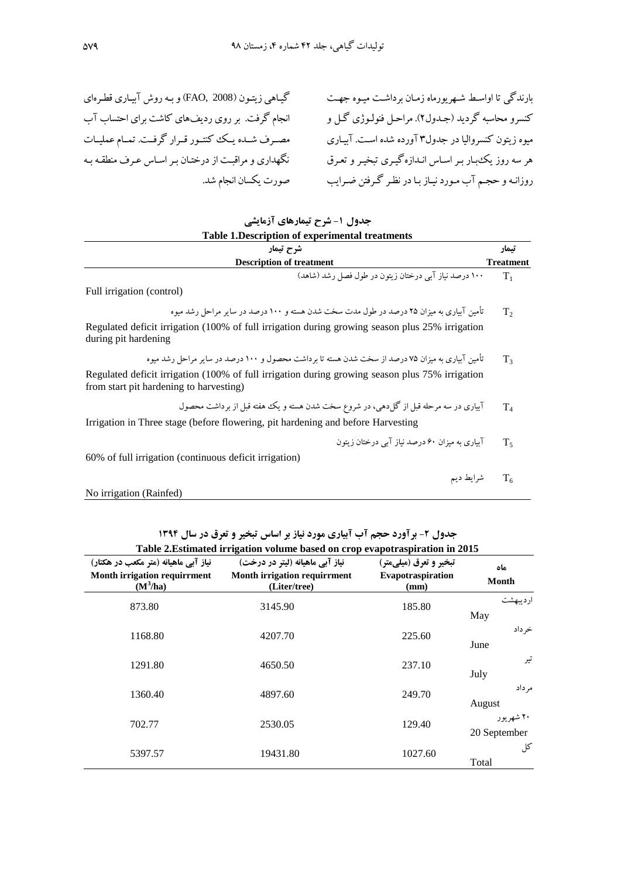گیـاهی زیتـون (2008 ,FAO) و بـه روش آبیـاری قطـرهای انجام گرفت. بر روی ردیفهای کاشت برای احتساب آب مصـرف شـده یـک کنتـور قـرار گرفـت. تمـام عملیـات نگهداری و مراقبت از درختـان بـر اسـاس عـرف منطقـه بـه صورت یکسان انجام شد.

بارندگی تا اواسط شهریورماه زمان برداشت میـوه جهـت کنسرو محاسبه گردید (جـدول۲). مراحـل فنولـوژی گـل و میوه زیتون کنسروالیا در جدول۳ آورده شده است. آبیاری هر سه روز یک بار بـر اسـاس انــدازه گیــری تبخیـر و تعـرق روزانـه و حجـم آب مـورد نیـاز بـا در نظـر گـرفتن ضـرایب

| جدول ۱- شرح تیمارهای آزمایشی<br>Table 1. Description of experimental treatments                                                            |                           |
|--------------------------------------------------------------------------------------------------------------------------------------------|---------------------------|
| شرح تيمار<br><b>Description of treatment</b>                                                                                               | تتمار<br><b>Treatment</b> |
| ۱۰۰ درصد نیاز آبی درختان زیتون در طول فصل رشد (شاهد)                                                                                       | $T_1$                     |
| Full irrigation (control)                                                                                                                  |                           |
| تأمین آبیاری به میزان ۲۵ درصد در طول مدت سخت شدن هسته و ۱۰۰ درصد در سایر مراحل رشد میوه                                                    | T <sub>2</sub>            |
| Regulated deficit irrigation (100% of full irrigation during growing season plus 25% irrigation<br>during pit hardening                    |                           |
| تأمین آبیاری به میزان ۷۵ درصد از سخت شدن هسته تا بر داشت محصول و ۱۰۰ درصد در سایر مراحل رشد میوه                                           | $T_3$                     |
| Regulated deficit irrigation (100% of full irrigation during growing season plus 75% irrigation<br>from start pit hardening to harvesting) |                           |
| آبیاری در سه مرحله قبل از گل(هیی، در شروع سخت شدن هسته و یک هفته قبل از برداشت محصول                                                       | $T_{4}$                   |
| Irrigation in Three stage (before flowering, pit hardening and before Harvesting                                                           |                           |
| آبیاری به میزان ۶۰ درصد نیاز آبی درختان زیتون                                                                                              | $T_{5}$                   |
| 60% of full irrigation (continuous deficit irrigation)                                                                                     |                           |
| شرايط ديم                                                                                                                                  | T <sub>6</sub>            |
| No irrigation (Rainfed)                                                                                                                    |                           |
|                                                                                                                                            |                           |

جدول **۲- برآورد حجم آب آبیاری مورد نیاز بر اساس تبخیر و تعرق در سال ۱۳۹۴** 

| Table 2. Estimated irrigation volume based on crop evapotraspiration in 2015              |                                                                                        |                                                             |                           |  |
|-------------------------------------------------------------------------------------------|----------------------------------------------------------------------------------------|-------------------------------------------------------------|---------------------------|--|
| نیاز آہے ماهیانه (متر مکعب در هکتار)<br><b>Month irrigation requirrment</b><br>$(M^3/ha)$ | نياز آيي ماهيانه (ليتر در درخت)<br><b>Month irrigation requirrment</b><br>(Liter/tree) | تبخير و تعرق (ميلي متر)<br><b>Evapotraspiration</b><br>(mm) | ماه<br><b>Month</b>       |  |
| 873.80                                                                                    | 3145.90                                                                                | 185.80                                                      | ارديبهشت<br>May           |  |
| 1168.80                                                                                   | 4207.70                                                                                | 225.60                                                      | خر داد<br>June            |  |
| 1291.80                                                                                   | 4650.50                                                                                | 237.10                                                      | تير<br>July               |  |
| 1360.40                                                                                   | 4897.60                                                                                | 249.70                                                      | مر داد<br>August          |  |
| 702.77                                                                                    | 2530.05                                                                                | 129.40                                                      | ۲۰ شهریور<br>20 September |  |
| 5397.57                                                                                   | 19431.80                                                                               | 1027.60                                                     | کل<br>Total               |  |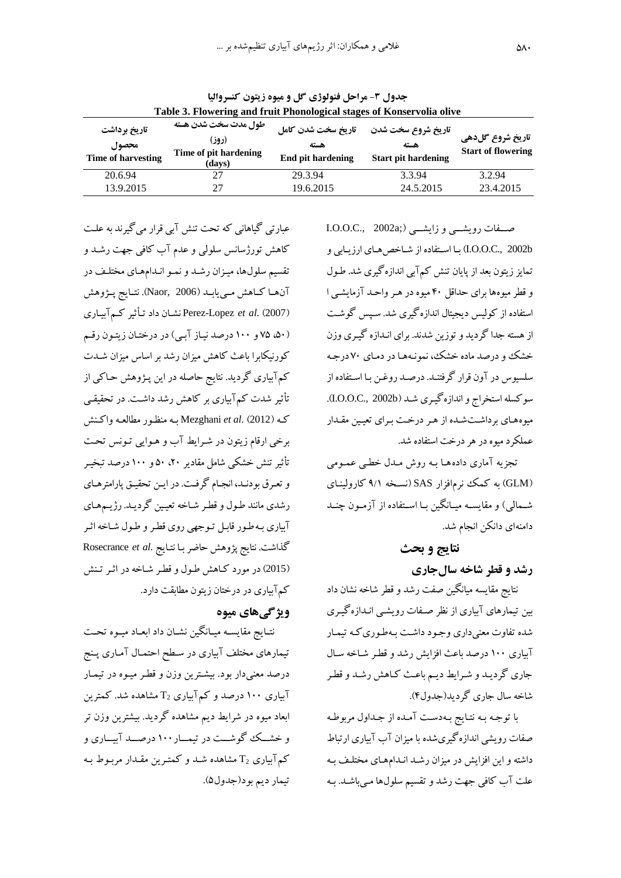| Table 3. Flowering and fruit Phonological stages of Konservolia olive |                                                                  |                                                 |                                                          |                                               |  |
|-----------------------------------------------------------------------|------------------------------------------------------------------|-------------------------------------------------|----------------------------------------------------------|-----------------------------------------------|--|
| تاریخ برداشت<br>محصول<br>Time of harvesting                           | طول مدت سخت شدن هسته<br>(روز)<br>Time of pit hardening<br>(days) | تاريخ سخت شدن كامل<br>هسته<br>End pit hardening | تاريخ شروع سخت شدن<br>هسته<br><b>Start pit hardening</b> | تاریخ شروع گلدهی<br><b>Start of flowering</b> |  |
| 20.6.94                                                               | 27                                                               | 29.3.94                                         | 3.3.94                                                   | 3.2.94                                        |  |
| 13.9.2015                                                             | 27                                                               | 19.6.2015                                       | 24.5.2015                                                | 23.4.2015                                     |  |

**جدول -1 مراحل فنولوژی گل و میوه زیتون کنسروالیا**

I.O.O.C., 2002a;) صفات رویشمی و زایشمی b2002 .,C.O.O.I )باا اساتفاده از شااخ هاای ارزیاابی و تمایز زیتون بعد از پایان تنش کم آبی اندازهگیری شد. طـول و قطر میوهها برای حداقل ۴۰ میوه در هـر واحـد آزمایشـی ا استفاده از کولیس دیجیتال اندازهگیری شد. ساسس گوشات از هسته جدا گردید و توزین شدند. برای انـدازه گیـری وزن خشک و درصد ماده خشک، نمونـههـا در دمـاي ۷۰درجـه سلسیوس در آون قرار گرفتنـد. درصـد روغـن بـا اسـتفاده از سوکسله استخراج و اندازهگیری شـد (I.O.O.C., 2002b). میوههای برداشت شده از هر درخت برای تعیین مقدار عملکرد میوه در هر درخت استفاده شد.

تجزیه آماری دادهها بـه روش مـدل خطـی عمـومی (GLM) به کمک نرمافزار SAS (نسخه ۹/۱ کارولینـای شـمالی) و مقایسـه میـانگین بـا اسـتفاده از آزمـون چنــد دامنهای دانکن انجام شد.

# **نتایج و بحث رشد و قطر شاخه سالجاری**

نتایج مقایسه میانگین صفت رشد و قطر شاخه نران داد بین تیمارهای آبیاری از نظر صـفات رویشـی انـدازه گیـری شده تفاوت معنیداری وجود داشت بـهطـوری کـه تیمـار آبیاری ۱۰۰ درصد باعث افزایش رشد و قطر شـاخه سـال جاری گردیـد و شـرایط دیـم باعـث کـاهش رشـد و قطـر شاخه سال جاری گردید)جدول4(.

با توجه به نتایج بهدست آمده از جداول مربوطه صفات رویشی اندازهگیریشده با میزان آب آبیاری ارتباط داشته و این افزایش در میزان رشـد انـدامهـای مختلـف بـه علت آب کافی جهت رشد و تقسیم سلولها می باشد. بـه

عبارتی گیاهانی که تحت تنش آبی قرار میگیرند به علت کاهش تورژسانس سلولی و عدم آب کافی جهت رشـد و تقسیم سلولها، میـزان رشـد و نمـو انـدامهـای مختلـف در آنهـا كـاهش مـييابـد (Naor, 2006). نتـايج پــژوهش )2007( .*al et* Lopez-Perez نراان داد تاأثیر کام وبیااری (۵۰)، ۷۵ و ۱۰۰ درصد نیاز آبی) در درختان زیتون رقم کورنیکابرا باعث کاهش میزان رشد بر اساس میزان شـدت کم آبیاری گردید. نتایج حاصله در این پـژوهش حـاکی از تأثیر شدت کم آبیاری بر کاهش رشد داشت. در تحقیقی کاه )2012( .*al et* Mezghani باه م ظاور مطالتاه واکا ش برخی ارقام زیتون در شرایط آب و هـوایی تـونس تحت تأثیر تنش خشکی شامل مقادیر ۲۰، ۵۰و ۱۰۰ درصد تبخیـر و تعرق بودنـد، انجـام گرفـت. در ایـن تحقیـق پارامترهـای رشدی مانند طـول و قطـر شـاخه تعیـین گردیـد. رژیــمهـای آبیاری به طور قابل توجهی روی قطر و طول شاخه اثر گذاشت. نتایج پژوهش حاضر باا نتاایج .*al et* Rosecrance (2015) در مورد کاهش طول و قطر شاخه در اثـر تـنش کمآبیاری در درختان زیتون مطابقت دارد.

# **ویژگیهای میوه**

نتـایج مقایسـه میـانگین نشـان داد ابعـاد میـوه تحـت تیمارهای مختلف آبیاری در سطح احتمـال آمـاری پـنج درصد معنیدار بود. بیشترین وزن و قطر میـوه در تیمـار آبیاری ۱۰۰ درصد و کم $\mathsf{T}_2$ بیاری  $\mathsf{T}_2$  مشاهده شد. کمترین ابعاد میوه در شرایط دیم مشاهده گردید. بیشترین وزن تر و خشــک گوشــت در تیمــار ۱۰۰ درصــد آبيــاری و کم آبیاری  $\mathrm{T}_2$  مشاهده شـد و کمتـرین مقـدار مربـوط بـه تیمار دیم بود)جدول7(.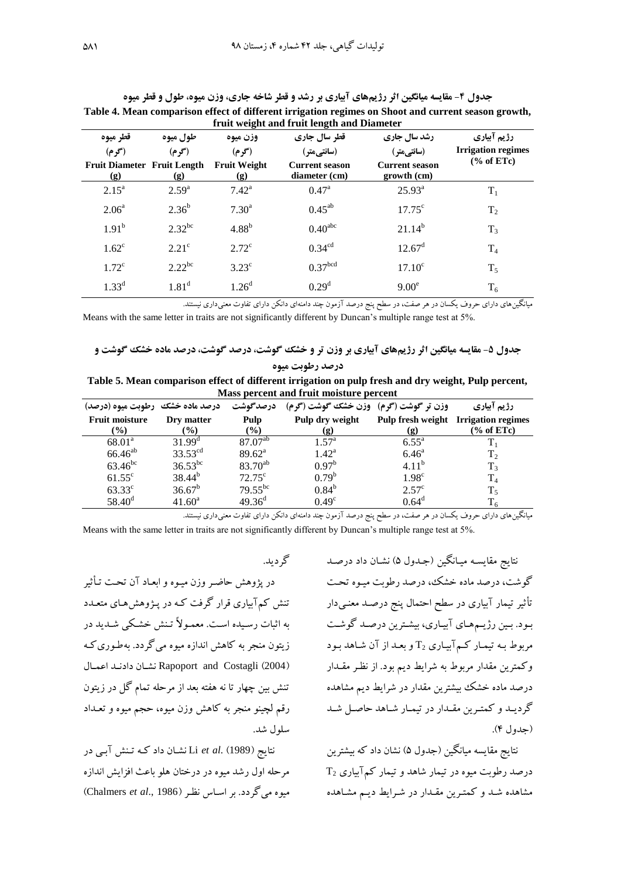| قطر ميوه                                  | طول ميوه       | وزن ميوه                   | قطر سال جاری                           | رشد سال جاری                         | رژیم آبیاری               |
|-------------------------------------------|----------------|----------------------------|----------------------------------------|--------------------------------------|---------------------------|
| (گو م)                                    | (گو م)         | (گو م)                     | (سانتيمتر)                             | (سانتيمتر)                           | <b>Irrigation regimes</b> |
| <b>Fruit Diameter Fruit Length</b><br>(g) | (g)            | <b>Fruit Weight</b><br>(g) | <b>Current season</b><br>diameter (cm) | <b>Current season</b><br>growth (cm) | % of ETe                  |
| $2.15^{\circ}$                            | $2.59^{a}$     | $7.42^{\rm a}$             | $0.47^{\rm a}$                         | $25.93^{\rm a}$                      | $T_1$                     |
| $2.06^{\circ}$                            | $2.36^{b}$     | $7.30^{\text{a}}$          | $0.45^{ab}$                            | $17.75^{\circ}$                      | T <sub>2</sub>            |
| $1.91^{b}$                                | $2.32^{bc}$    | $4.88^{b}$                 | 0.40 <sup>abc</sup>                    | $21.14^{b}$                          | $T_3$                     |
| $1.62^{\circ}$                            | $2.21^{\circ}$ | $2.72^{\circ}$             | 0.34 <sup>cd</sup>                     | $12.67^{\rm d}$                      | T <sub>4</sub>            |
| $1.72^{\circ}$                            | $2.22^{bc}$    | $3.23^{\circ}$             | 0.37 <sup>bcd</sup>                    | $17.10^{\circ}$                      | $T_5$                     |
| $1.33^{d}$                                | $1.81^d$       | 1.26 <sup>d</sup>          | 0.29 <sup>d</sup>                      | 9.00 <sup>e</sup>                    | $T_6$                     |

**جدول -9 مقایسه میانگین اثر رژیمهای آبیاری بر رشد و قطر شاخه جاری، وزن میوه، طول و قطر میوه Table 4. Mean comparison effect of different irrigation regimes on Shoot and current season growth, fruit weight and fruit length and Diameter**

میانگینهای دارای حروف یکسان در هر صفت، در سطح پنج درصد آزمون چند دامنهای دانکن دارای تفاوت معنیداری نیستند.

Means with the same letter in traits are not significantly different by Duncan's multiple range test at 5%.

**جدول -9 مقایسه میانگین اثر رژیمهای آبیاری بر وزن تر و خشک گوشت، درصد گوشت، درصد ماده خشک گوشت و درصد رطوبت میوه**

| Table 5. Mean comparison effect of different irrigation on pulp fresh and dry weight, Pulp percent, |
|-----------------------------------------------------------------------------------------------------|
| Mass percent and fruit moisture percent                                                             |

| درصد ماده خشک ً رطوبت میوه (درصد) |                    | درصدگوشت        | وزن تر گوشت (گرم)۔وزن خشک گوشت (گرم) |                             | رژیم آبیاری                                 |
|-----------------------------------|--------------------|-----------------|--------------------------------------|-----------------------------|---------------------------------------------|
| <b>Fruit moisture</b>             | Dry matter         | Pulp            | Pulp dry weight                      |                             | <b>Pulp fresh weight</b> Irrigation regimes |
| $\mathcal{O}_0$                   | $\frac{9}{0}$      | $\frac{9}{0}$   | (g)                                  | $\left( \mathbf{g} \right)$ | % of ETe                                    |
| 68.01 <sup>a</sup>                | $31.99^{\text{d}}$ | $87.07^{ab}$    | $1.57^{\rm a}$                       | $6.55^{\circ}$              |                                             |
| $66.46^{ab}$                      | $33.53^{cd}$       | $89.62^{\circ}$ | $1.42^{\rm a}$                       | $6.46^{\circ}$              | T <sub>2</sub>                              |
| $63.46^{bc}$                      | $36.53^{bc}$       | $83.70^{ab}$    | $0.97^b$                             | $4.11^{b}$                  | $T_3$                                       |
| $61.55^{\circ}$                   | $38.44^{b}$        | $72.75^{\circ}$ | $0.79^{b}$                           | 1.98 <sup>c</sup>           | T <sub>4</sub>                              |
| $63.33^{\circ}$                   | $36.67^b$          | $79.55^{bc}$    | $0.84^{\rm b}$                       | $2.57^{\circ}$              | $T_5$                                       |
| $58.40^{\circ}$                   | $41.60^{\text{a}}$ | $49.36^{\rm d}$ | $0.49^\circ$                         | $0.64^{\rm d}$              | $\rm T_6$                                   |

میانگینهای دارای حروف یکسان در هر صفت، در سطح پنج درصد آزمون چند دامنهای دانکن دارای تفاوت معنیداری نیستند.

Means with the same letter in traits are not significantly different by Duncan's multiple range test at 5%.

نتایج مقایسه میـانگین (جـدول ۵) نشـان داد درصـد گوشت، درصد ماده خشک، درصد رطوبت میـوه تحـت تأثیر تیمار آبیاری در سطح احتمال پنج درصـد معنـیدار بـود. بـین رژیــمهـای آبیـاری، بیشـترین درصـد گوشـت مربوط بـه تیمـار کـم آبیـاری  $\rm{T}_2$  و بعـد از آن شـاهد بـود وکمترین مقدار مربوط به شرایط دیم بود. از نظار مقادار درصد ماده خشک بیشترین مقدار در شرایط دیم مشاهده گردیـد و کمتـرین مقـدار در تیمـار شـاهد حاصـل شـد )جدول 4(.

نتایج مقایسه میانگین (جدول ۵) نشان داد که بیشترین درصد رطوبت میوه در تیمار شاهد و تیمار کم $\mathsf{T}_2$ بیاری  $\mathsf{T}_2$ مشاهده شـد و کمتـرین مقـدار در شـرایط دیـم مشـاهده

گردید.

در پژوهش حاضر وزن میـوه و ابعـاد آن تحـت تـأثبر تنش کم آبیاری قرار گرفت کـه در پـژوهش هـای متعـدد به اثبات رسیده است. معمـولاً تـنش خشـکی شـدید در زیتون منجر به کاهش اندازه میوه میگردد. به طـوری کـه نشان دادند اعمال Rapoport and Costagli (2004) تنش بین چهار تا نه هفته بعد از مرحله تمام گل در زیتون رقم لچینو منجر به کاهش وزن میوه، حجم میوه و تعـداد سلول شد.

نتایج )1989( .*al et* Li نراان داد کاه تا ش وبای در مرحله اول رشد میوه در درختان هلو باعث اف ایش اندازه میوه میگردد. بر اسااس نظار )1986 .,*al et* Chalmers )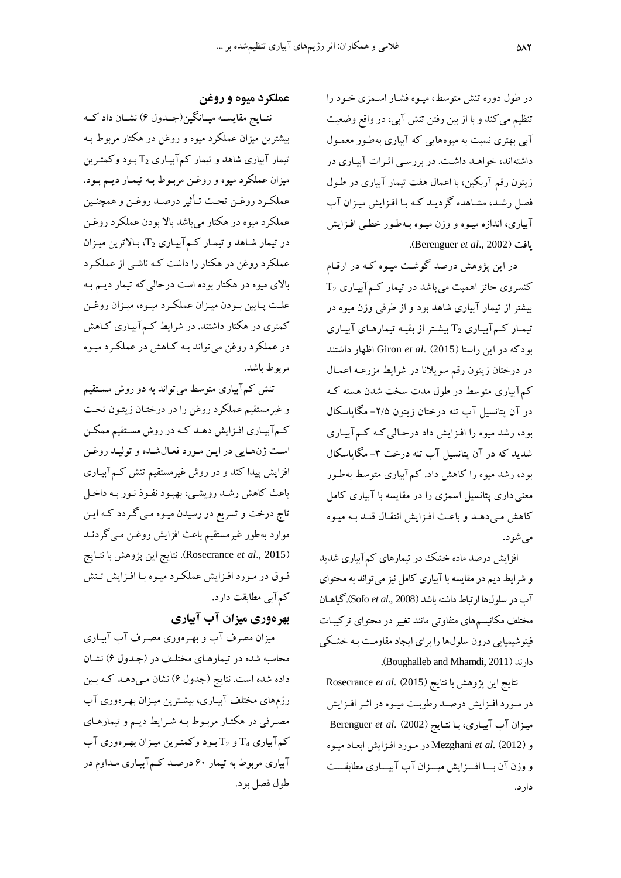در طول دوره تنش متوسط، میـوه فشـار اسـمزی خـود را تنظیم می کند و با از بین رفتن تنش آبی، در واقع وضعیت آبی بهتری نسبت به میوههایی که آبیاری بهطور معمـول داشتهاند، خواهـد داشـت. در بررسـی اثـرات آبيـاری در زیتون رقم آربکین، با اعمال هفت تیمار آبیاری در طـول فصل رشد، مشاهده گردیـد کـه بـا افـزایش میـزان آب آبیاری، اندازه میـوه و وزن میـوه بـهطـور خطـی افـزایش .)Berenguer *et al*., 2002( یافت

در این پژوهش درصد گوشت میـوه کـه در ارقـام کنسروی حائز اهمیت میباشد در تیمار ک $\mathsf{T}_2$ بیاری  $\mathsf{T}_2$ بیشتر از تیمار آبیاری شاهد بود و از طرفی وزن میوه در تیمار کمآبیاری  $\mathrm{T}_2$  بیشتر از بقیه تیمارهای آبیاری بودکه در این راستا )2015( .*al et* Giron اظهار داشت د در درختان زیتون رقم سویلانا در شرایط مزرعـه اعمـال کم آبیاری متوسط در طول مدت سخت شدن هسته ک در آن پتانسیل آب تنه درختان زیتون ۲/۵– مگاپاسکال بود، رشد میوه را افـزایش داد درحـالی کـه کـم آبیـاری شدید که در آن پتانسیل آب تنه درخت ۳- مگاپاسکال بود، رشد میوه را کاهش داد. کمآبیاری متوسط به طور معنی داری پتانسیل اسمزی را در مقایسه با آبیاری کامل کاهش میدهـد و باعـث افـزایش انتقـال قنـد بـه میـوه میشود.

افزایش درصد ماده خشک در تیمارهای کم7بیاری شدید و شرایط دیم در مقایسه با آبیاری کامل نیز می تواند به محتوای وب در سلولها ارتااط داشته باشد )2008 .,*al et* Sofo).گیاهاان مختلف مکانیسمهای متفاوتی مانند تغییر در محتوای ترکیبـات فیتوشیمیایی درون سلولها را برای ایجاد مقاومت بـه خشکی .)Boughalleb and Mhamdi, 2011( دارند

نتایج این پژوهش با نتایج )2015( .*al et* Rosecrance در مورد افـزایش درصـد رطوبـت میـوه در اثـر افـزایش میزان آب آبیاری، با نتایج (2002) Berenguer *et al*. و )2012( .*al et* Mezghani در ماورد افا ایش ابتااد میاوه و وزن آن با افرایش میسزان آب آبیساری مطابقست دارد.

## **عملکرد میوه و روغن**

نتـایج مقایســه میــانگین(جــدول ۶) نشــان داد کــه بیشترین میزان عملکرد میوه و روغن در هکتار مربوط بـه تیمار آبیاری شاهد و تیمار کمآبیـاری  $\mathrm{T}_2$  بـود وکمتـرین میزان عملکرد میوه و روغن مربـوط بـه تیمـار دیـم بـود. عملکرد روغـن تحـت تـأثیر درصـد روغـن و همچنـین عملکرد میوه در هکتار میباشد بالا بودن عملکرد روغـن در تیمار شاهد و تیمار ک $\mathcal{T}_1$ بیاری  $\mathcal{T}_2$ ، بالاترین میزان عملکرد روغن در هکتار را داشت کـه ناشـی از عملکـرد بالای میوه در هکتار بوده است درحالی که تیمار دیـم بـه علت پـایین بـودن میـزان عملکـرد میـوه، میـزان روغـن کمتری در هکتار داشتند. در شرایط کمآبیاری کـاهش در عملکرد روغن میتواند بـه کـاهش در عملکـرد میـوه مربوط باشد.

تنش کم آبیاری متوسط می تواند به دو روش مستقیم و غیرمستقیم عملکرد روغن را در درختـان زیتـون تحـت کـمآبیـاری افـزایش دهـد کـه در روش مسـتقیم ممکـن است ژنهایی در این مورد فعال شده و تولید روغن افزایش پیدا کند و در روش غیرمستقیم تنش کـمآبیـاری باعث کاهش رشد رویشی، بهبود نفـوذ نـور بـه داخـل تاج درخت و تسریع در رسیدن میـوه مـی گـردد کـه ایـن موارد به طور غیرمستقیم باعث افزایش روغـن مـیگردنــد )2015 .,*al et* Rosecrance). نتایج این پژوهش با نتاایج فوق در مورد افزایش عملکرد میوه با افزایش تنش کم آبی مطابقت دارد.

**بهرهوری میزان آب آبیاری**

میزان مصرف آب و بهـرهوری مصـرف آب آبیـاری محاسبه شده در تیمارهـای مختلـف در (جـدول ۶) نشـان داده شده است. نتایج (جدول ۶) نشان مـیدهـد کـه بـین رژمهای مختلف آبیـاری، بیشـترین میـزان بهـرهوری آب مصرفی در هکتـار مربـوط بـه شـرایط دیـم و تیمارهـای کم آبیاری  $\rm T_4$  و  $\rm T_2$  بود وکمترین میزان بهرهوری آب آبیاری مربوط به تیمار ۶۰ درصـد کـم آبیـاری مـداوم در ول فصل بود.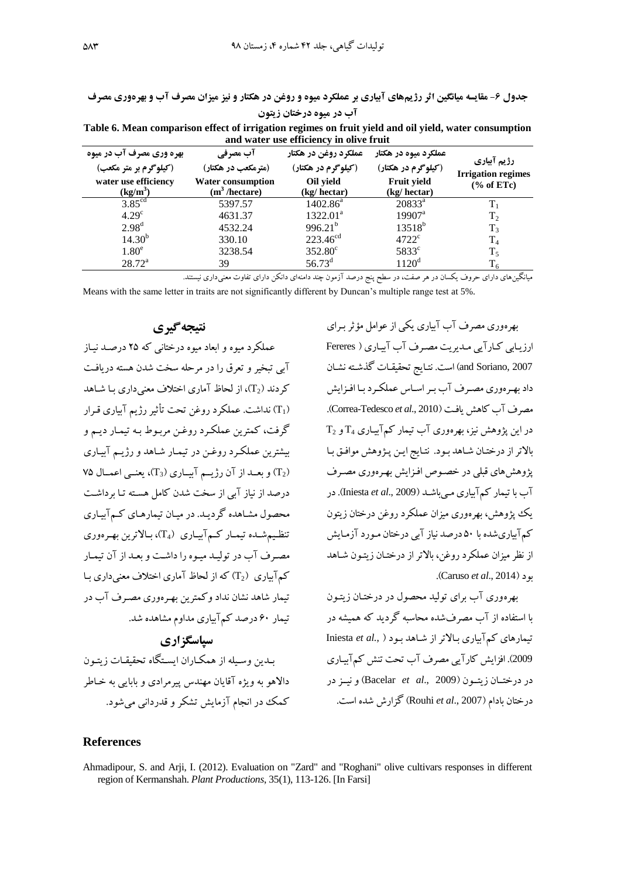**جدول -1 مقایسه میانگین اثر رژیمهای آبیاری بر عملکرد میوه و روغن در هکتار و نیز میزان مصرف آب و بهرهوری مصرف آب در میوه درختان زیتون**

**Table 6. Mean comparison effect of irrigation regimes on fruit yield and oil yield, water consumption and water use efficiency in olive fruit**

| بهره وری مصرف آب در میوه | آب مصرفی                  | عملكرد روغن در هكتار | عملکرد میوه در هکتار | رژیم آبیاری               |
|--------------------------|---------------------------|----------------------|----------------------|---------------------------|
| (کیلوگرم بر متر مکعب)    | (مترمکعب در هکتار)        | (کیلوگرم در هکتار)   | (کیلوگرم در هکتار)   | <b>Irrigation regimes</b> |
| water use efficiency     | <b>Water consumption</b>  | Oil vield            | Fruit yield          | $\frac{6}{6}$ of ETc)     |
| $(kg/m^3)$               | (m <sup>3</sup> /hectare) | (kg/hectar)          | (kg/hectar)          |                           |
| 3.85 <sup>cd</sup>       | 5397.57                   | $1402.86^a$          | $20833^a$            | $T_{1}$                   |
| 4.29 <sup>c</sup>        | 4631.37                   | $1322.01^a$          | $19907^{\text{a}}$   | T <sub>2</sub>            |
| 2.98 <sup>d</sup>        | 4532.24                   | $996.21^{b}$         | $13518^{b}$          | T <sub>3</sub>            |
| 14.30 <sup>b</sup>       | 330.10                    | $223.46^{cd}$        | $4722$ <sup>c</sup>  | T <sub>4</sub>            |
| $1.80^\mathrm{e}$        | 3238.54                   | $352.80^{\circ}$     | $5833^{\circ}$       | $T_5$                     |
| $28.72^a$                | 39                        | $56.73^{\rm d}$      | $1120^d$             | $T_6$                     |

میانگینهای دارای حروف یکسان در هر صفت، در سطح پنج درصد آزمون چند دامنهای دانکن دارای تفاوت معنیداری نیستند.

Means with the same letter in traits are not significantly different by Duncan's multiple range test at 5%.

## **نتیجهگیری**

عملکرد میوه و ابتاد میوه درختانی که 27 درصاد نیااز وبی تاخیر و تترب را در مرحله سخت شدن هسته دریافات کردند ( $\mathrm{T}_2$ )، از لحاظ آماری اختلاف معنی داری بـا شـاهد (T1) نداشت. عملکرد روغن تحت تأثیر رژیم آبیاری قـرار گرفت، کمترین عملکارد روغان مرباوط باه تیماار دیام و بیشترین عملک د روغـن در تیمـار شـاهد و رژیــم آبیـاری ۷۵ ) و بعــد از آن رژیــم آبیــاری ( $(T_3)$ )، یعنــی اعمــال ۷۵ درصد از نیاز آبی از سخت شدن کامل هسته تـا برداشـت محصول مشاهده گردیـد. در میـان تیمارهـای کـمآبیـاری تنظیم شده تیمـار کـمآبیـاری ( $T_{4}$ )، بـالاترین بهـرهوری مصرف آب در تولیـد میـوه را داشـت و بعـد از آن تیمـار کم آباری  $\mathrm{T}_2$ ) که از لحاظ آماری اختلاف معنی داری با <sub>.</sub><br>تیمار شاهد نشان نداد وکمترین بهـرهوری مصـرف آب در تیمار ۶۰ درصد کمآبیاری مداوم مشاهده شد.

## **سپاسگزاری**

بـدین وسـیله از همکـاران ایسـتگاه تحقیقـات زیتـون دالاهو به ویژه آقایان مهندس پیرمرادی و بابایی به خیاطر کمک در انجام آزمایش تشکر و قدردانی می شود.

بهرهوری مصرف وب وبیاری یکی از عوامل مؤثر بارای ارزیابی کارآیی مدیریت مصرف آب آبیاری ( Fereres 2007 ,and Soriano) است. نتـایج تحقیقـات گذشـته نشـان داد بهرهوری مصرف آب بر اساس عملکرد با افزایش مصرف وب کاهش یافات )2010 .,*al et* Tedesco-Correa).  $T_2$  در این پژوهش نیز، بهرهوری آب تیمار کمآبیاری  $T_4$  و بالاتر از درختان شاهد بود. نتایج این پژوهش موافق با پژوهشهای قبلی در خصوص افـزایش بهـرهوری مصـرف وب با تیمار کموبیاری مای باشاد )2009 .,*al et* Iniesta). در یک پژوهش، بهرهوری می ان عملکرد روغن درختان زیتون کم آبیاریشده با ۵۰ درصد نیاز آبی درختان مـورد آزمـایش از نظر میزان عملکرد روغن، بالاتر از درختـان زیتـون شـاهد .)Caruso *et al*., 2014( بود

بهرهوری آب برای تولید محصول در درختـان زیتـون با استفاده از آب مصرفشده محاسبه گردید که همیشه در تیمارهای کموبیاری بااالتر از شااهد باود ) *.*,*al et* Iniesta 2009). افزایش کارآیی مصرف آب تحت تنش کمآبیاری در درختـان زیتـون (Bacelar *et al.*, 2009) و نیــز در درختان بادام )2007 .,*al et* Rouhi )گ ارش شده است.

#### **References**

Ahmadipour, S. and Arji, I. (2012). Evaluation on "Zard" and "Roghani" olive cultivars responses in different region of Kermanshah. *Plant Productions*, 35(1), 113-126. [In Farsi]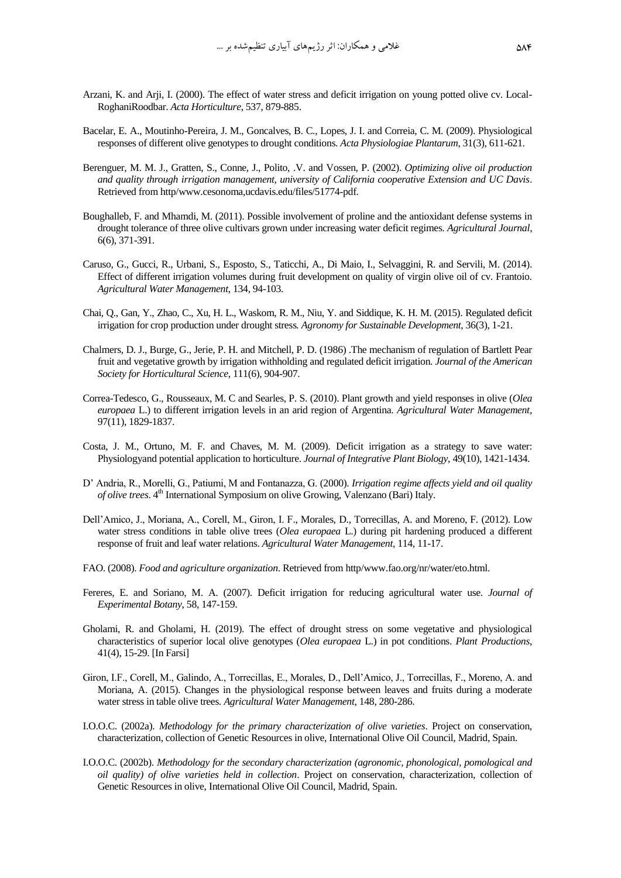- Arzani, K. and Arji, I. (2000). The effect of water stress and deficit irrigation on young potted olive cv. Local-RoghaniRoodbar. *Acta Horticulture*, 537, 879-885.
- Bacelar, E. A., Moutinho-Pereira, J. M., Goncalves, B. C., Lopes, J. I. and Correia, C. M. (2009). Physiological responses of different olive genotypes to drought conditions. *Acta Physiologiae Plantarum*, 31(3), 611-621.
- Berenguer, M. M. J., Gratten, S., Conne, J., Polito, .V. and Vossen, P. (2002). *Optimizing olive oil production and quality through irrigation management, university of California cooperative Extension and UC Davis*. Retrieved from http/www.cesonoma,ucdavis.edu/files/51774-pdf.
- Boughalleb, F. and Mhamdi, M. (2011). Possible involvement of proline and the antioxidant defense systems in drought tolerance of three olive cultivars grown under increasing water deficit regimes. *Agricultural Journal*, 6(6), 371-391.
- Caruso, G., Gucci, R., Urbani, S., Esposto, S., Taticchi, A., Di Maio, I., Selvaggini, R. and Servili, M. (2014). Effect of different irrigation volumes during fruit development on quality of virgin olive oil of cv. Frantoio. *Agricultural Water Management*, 134, 94-103.
- Chai, Q., Gan, Y., Zhao, C., Xu, H. L., Waskom, R. M., Niu, Y. and Siddique, K. H. M. (2015). Regulated deficit irrigation for crop production under drought stress*. [Agronomy for Sustainable Development](https://link.springer.com/journal/13593)*, 36(3), 1-21.
- Chalmers, D. J., Burge, G., Jerie, P. H. and Mitchell, P. D. (1986) .The mechanism of regulation of Bartlett Pear fruit and vegetative growth by irrigation withholding and regulated deficit irrigation. *Journal of the American Society for Horticultural Science*, 111(6), 904-907.
- Correa-Tedesco, G., Rousseaux, M. C and Searles, P. S. (2010). Plant growth and yield responses in olive (*Olea europaea* L.) to different irrigation levels in an arid region of Argentina. *Agricultural Water Management*, 97(11), 1829-1837.
- Costa, J. M., Ortuno, M. F. and Chaves, M. M. (2009). Deficit irrigation as a strategy to save water: Physiologyand potential application to horticulture. *Journal of Integrative Plant Biology*, 49(10), 1421-1434.
- D' Andria, R., Morelli, G., Patiumi, M and Fontanazza, G. (2000). *Irrigation regime affects yield and oil quality of olive trees*. 4<sup>th</sup> International Symposium on olive Growing, Valenzano (Bari) Italy.
- Dell'Amico, J., Moriana, A., Corell, M., Giron, I. F., Morales, D., Torrecillas, A. and Moreno, F. (2012). Low water stress conditions in table olive trees (*Olea europaea* L.) during pit hardening produced a different response of fruit and leaf water relations. *Agricultural Water Management*, 114, 11-17.
- FAO. (2008). *Food and agriculture organization*. Retrieved from http/ww[w.fao.org/nr/water/eto.html.](http://www.fao.org/nr/water/eto.html)
- Fereres, E. and Soriano, M. A. (2007). Deficit irrigation for reducing agricultural water use. *Journal of Experimental Botany*, 58, 147-159.
- Gholami, R. and Gholami, H. (2019). The effect of drought stress on some vegetative and physiological characteristics of superior local olive genotypes (*Olea europaea* L.) in pot conditions. *Plant Productions*, 41(4), 15-29. [In Farsi]
- Giron, I.F., Corell, M., Galindo, A., Torrecillas, E., Morales, D., Dell'Amico, J., Torrecillas, F., Moreno, A. and Moriana, A. (2015). Changes in the physiological response between leaves and fruits during a moderate water stress in table olive trees. *Agricultural Water Management*, 148, 280-286.
- I.O.O.C. (2002a). *Methodology for the primary characterization of olive varieties*. Project on conservation, characterization, collection of Genetic Resources in olive, International Olive Oil Council, Madrid, Spain.
- I.O.O.C. (2002b). *Methodology for the secondary characterization (agronomic, phonological, pomological and oil quality) of olive varieties held in collection*. Project on conservation, characterization, collection of Genetic Resources in olive, International Olive Oil Council, Madrid, Spain.